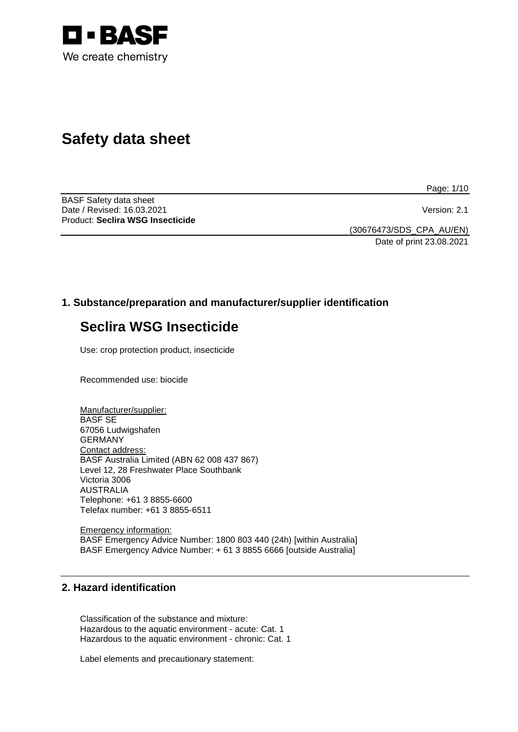

# **Safety data sheet**

Page: 1/10

BASF Safety data sheet Date / Revised: 16.03.2021 Version: 2.1 Product: **Seclira WSG Insecticide**

(30676473/SDS\_CPA\_AU/EN) Date of print 23.08.2021

# **1. Substance/preparation and manufacturer/supplier identification**

# **Seclira WSG Insecticide**

Use: crop protection product, insecticide

Recommended use: biocide

Manufacturer/supplier: BASF SE 67056 Ludwigshafen GERMANY Contact address: BASF Australia Limited (ABN 62 008 437 867) Level 12, 28 Freshwater Place Southbank Victoria 3006 AUSTRALIA Telephone: +61 3 8855-6600 Telefax number: +61 3 8855-6511

Emergency information: BASF Emergency Advice Number: 1800 803 440 (24h) [within Australia] BASF Emergency Advice Number: + 61 3 8855 6666 [outside Australia]

# **2. Hazard identification**

Classification of the substance and mixture: Hazardous to the aquatic environment - acute: Cat. 1 Hazardous to the aquatic environment - chronic: Cat. 1

Label elements and precautionary statement: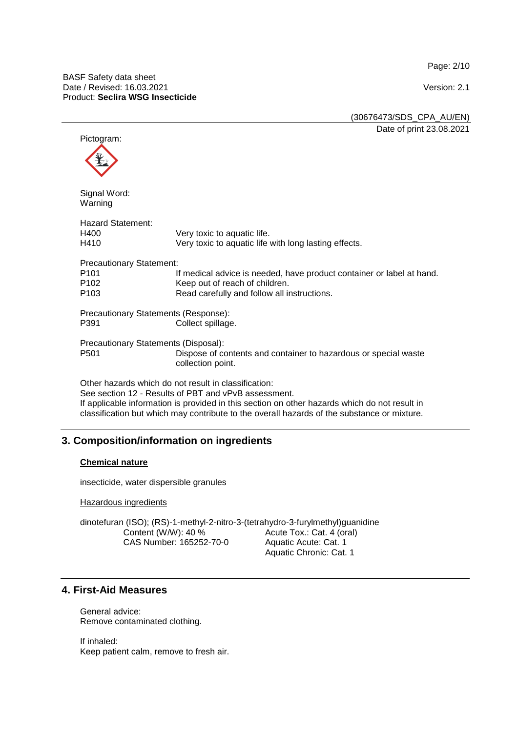Page: 2/10

(30676473/SDS\_CPA\_AU/EN) Date of print 23.08.2021

Pictogram: Signal Word: Warning Hazard Statement:<br>H400 H400 Very toxic to aquatic life.<br>H410 Very toxic to aquatic life Very toxic to aquatic life with long lasting effects. Precautionary Statement: P101 If medical advice is needed, have product container or label at hand.<br>P102 Seep out of reach of children. P102 Keep out of reach of children.<br>P103 Read carefully and follow all in Read carefully and follow all instructions. Precautionary Statements (Response): P391 Collect spillage. Precautionary Statements (Disposal): P501 Dispose of contents and container to hazardous or special waste collection point. Other hazards which do not result in classification: See section 12 - Results of PBT and vPvB assessment. If applicable information is provided in this section on other hazards which do not result in classification but which may contribute to the overall hazards of the substance or mixture.

# **3. Composition/information on ingredients**

# **Chemical nature**

insecticide, water dispersible granules

Hazardous ingredients

dinotefuran (ISO); (RS)-1-methyl-2-nitro-3-(tetrahydro-3-furylmethyl)guanidine Content (W/W): 40 % CAS Number: 165252-70-0 Acute Tox.: Cat. 4 (oral) Aquatic Acute: Cat. 1 Aquatic Chronic: Cat. 1

# **4. First-Aid Measures**

General advice: Remove contaminated clothing.

If inhaled: Keep patient calm, remove to fresh air.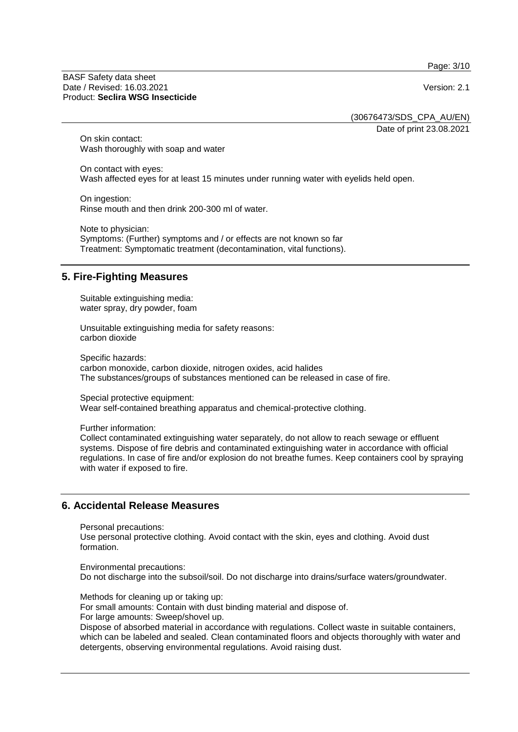Page: 3/10

#### BASF Safety data sheet Date / Revised: 16.03.2021 **Version: 2.1** Product: **Seclira WSG Insecticide**

(30676473/SDS\_CPA\_AU/EN)

Date of print 23.08.2021

On skin contact: Wash thoroughly with soap and water

On contact with eyes: Wash affected eyes for at least 15 minutes under running water with eyelids held open.

On ingestion: Rinse mouth and then drink 200-300 ml of water.

Note to physician: Symptoms: (Further) symptoms and / or effects are not known so far Treatment: Symptomatic treatment (decontamination, vital functions).

# **5. Fire-Fighting Measures**

Suitable extinguishing media: water spray, dry powder, foam

Unsuitable extinguishing media for safety reasons: carbon dioxide

Specific hazards: carbon monoxide, carbon dioxide, nitrogen oxides, acid halides The substances/groups of substances mentioned can be released in case of fire.

Special protective equipment: Wear self-contained breathing apparatus and chemical-protective clothing.

Further information:

Collect contaminated extinguishing water separately, do not allow to reach sewage or effluent systems. Dispose of fire debris and contaminated extinguishing water in accordance with official regulations. In case of fire and/or explosion do not breathe fumes. Keep containers cool by spraying with water if exposed to fire.

# **6. Accidental Release Measures**

Personal precautions:

Use personal protective clothing. Avoid contact with the skin, eyes and clothing. Avoid dust formation.

Environmental precautions: Do not discharge into the subsoil/soil. Do not discharge into drains/surface waters/groundwater.

Methods for cleaning up or taking up:

For small amounts: Contain with dust binding material and dispose of.

For large amounts: Sweep/shovel up.

Dispose of absorbed material in accordance with regulations. Collect waste in suitable containers, which can be labeled and sealed. Clean contaminated floors and objects thoroughly with water and detergents, observing environmental regulations. Avoid raising dust.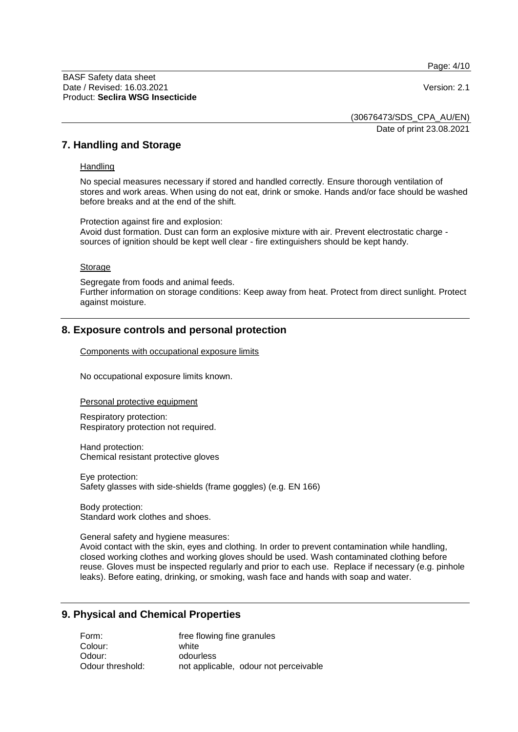Page: 4/10

(30676473/SDS\_CPA\_AU/EN) Date of print 23.08.2021

**7. Handling and Storage**

#### **Handling**

No special measures necessary if stored and handled correctly. Ensure thorough ventilation of stores and work areas. When using do not eat, drink or smoke. Hands and/or face should be washed before breaks and at the end of the shift.

Protection against fire and explosion: Avoid dust formation. Dust can form an explosive mixture with air. Prevent electrostatic charge sources of ignition should be kept well clear - fire extinguishers should be kept handy.

#### **Storage**

Segregate from foods and animal feeds. Further information on storage conditions: Keep away from heat. Protect from direct sunlight. Protect against moisture.

# **8. Exposure controls and personal protection**

Components with occupational exposure limits

No occupational exposure limits known.

Personal protective equipment

Respiratory protection: Respiratory protection not required.

Hand protection: Chemical resistant protective gloves

Eye protection: Safety glasses with side-shields (frame goggles) (e.g. EN 166)

Body protection: Standard work clothes and shoes.

General safety and hygiene measures:

Avoid contact with the skin, eyes and clothing. In order to prevent contamination while handling, closed working clothes and working gloves should be used. Wash contaminated clothing before reuse. Gloves must be inspected regularly and prior to each use. Replace if necessary (e.g. pinhole leaks). Before eating, drinking, or smoking, wash face and hands with soap and water.

## **9. Physical and Chemical Properties**

| Form:            | free flowing fine granules            |
|------------------|---------------------------------------|
| Colour:          | white                                 |
| Odour:           | odourless                             |
| Odour threshold: | not applicable, odour not perceivable |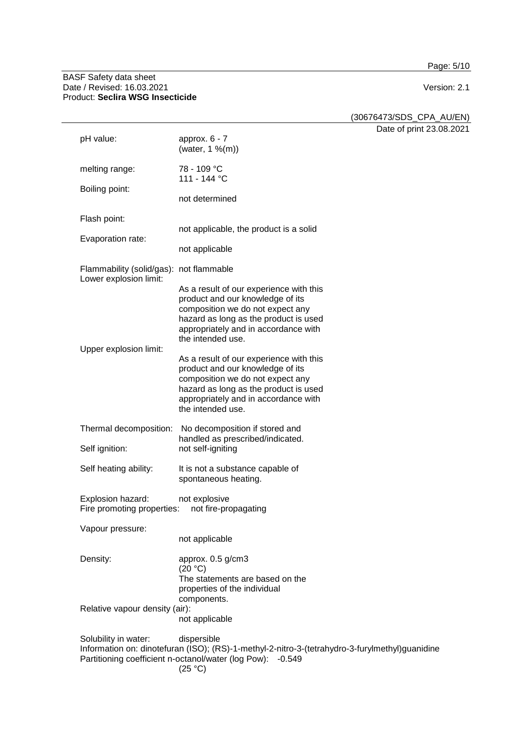Page: 5/10

#### BASF Safety data sheet Date / Revised: 16.03.2021 Version: 2.1 Product: **Seclira WSG Insecticide**

(30676473/SDS\_CPA\_AU/EN)

Date of print 23.08.2021

| pH value:                                                                                                                                                                                                      | approx. $6 - 7$<br>(water, 1 %(m))                                                                                                                                                                                    |  |
|----------------------------------------------------------------------------------------------------------------------------------------------------------------------------------------------------------------|-----------------------------------------------------------------------------------------------------------------------------------------------------------------------------------------------------------------------|--|
| melting range:                                                                                                                                                                                                 | 78 - 109 °C<br>111 - 144 °C                                                                                                                                                                                           |  |
| Boiling point:                                                                                                                                                                                                 | not determined                                                                                                                                                                                                        |  |
| Flash point:                                                                                                                                                                                                   |                                                                                                                                                                                                                       |  |
| Evaporation rate:                                                                                                                                                                                              | not applicable, the product is a solid                                                                                                                                                                                |  |
|                                                                                                                                                                                                                | not applicable                                                                                                                                                                                                        |  |
| Flammability (solid/gas): not flammable<br>Lower explosion limit:                                                                                                                                              |                                                                                                                                                                                                                       |  |
| Upper explosion limit:                                                                                                                                                                                         | As a result of our experience with this<br>product and our knowledge of its<br>composition we do not expect any<br>hazard as long as the product is used<br>appropriately and in accordance with<br>the intended use. |  |
|                                                                                                                                                                                                                | As a result of our experience with this<br>product and our knowledge of its<br>composition we do not expect any<br>hazard as long as the product is used<br>appropriately and in accordance with<br>the intended use. |  |
| Thermal decomposition:                                                                                                                                                                                         | No decomposition if stored and                                                                                                                                                                                        |  |
| Self ignition:                                                                                                                                                                                                 | handled as prescribed/indicated.<br>not self-igniting                                                                                                                                                                 |  |
| Self heating ability:                                                                                                                                                                                          | It is not a substance capable of<br>spontaneous heating.                                                                                                                                                              |  |
| Explosion hazard:<br>Fire promoting properties:                                                                                                                                                                | not explosive<br>not fire-propagating                                                                                                                                                                                 |  |
| Vapour pressure:                                                                                                                                                                                               | not applicable                                                                                                                                                                                                        |  |
| Density:                                                                                                                                                                                                       | approx. 0.5 g/cm3<br>(20 °C)<br>The statements are based on the<br>properties of the individual<br>components.                                                                                                        |  |
| Relative vapour density (air):                                                                                                                                                                                 | not applicable                                                                                                                                                                                                        |  |
| dispersible<br>Solubility in water:<br>Information on: dinotefuran (ISO); (RS)-1-methyl-2-nitro-3-(tetrahydro-3-furylmethyl)guanidine<br>Partitioning coefficient n-octanol/water (log Pow): -0.549<br>(25 °C) |                                                                                                                                                                                                                       |  |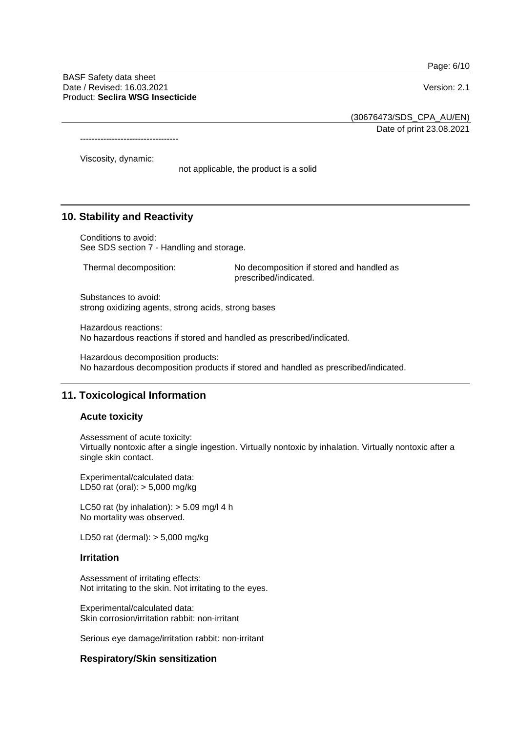Page: 6/10

BASF Safety data sheet Date / Revised: 16.03.2021 **Version: 2.1** Product: **Seclira WSG Insecticide**

(30676473/SDS\_CPA\_AU/EN)

Date of print 23.08.2021

----------------------------------

Viscosity, dynamic:

not applicable, the product is a solid

## **10. Stability and Reactivity**

Conditions to avoid: See SDS section 7 - Handling and storage.

Thermal decomposition: No decomposition if stored and handled as prescribed/indicated.

Substances to avoid: strong oxidizing agents, strong acids, strong bases

Hazardous reactions: No hazardous reactions if stored and handled as prescribed/indicated.

Hazardous decomposition products: No hazardous decomposition products if stored and handled as prescribed/indicated.

## **11. Toxicological Information**

#### **Acute toxicity**

Assessment of acute toxicity: Virtually nontoxic after a single ingestion. Virtually nontoxic by inhalation. Virtually nontoxic after a single skin contact.

Experimental/calculated data: LD50 rat (oral): > 5,000 mg/kg

LC50 rat (by inhalation):  $>$  5.09 mg/l 4 h No mortality was observed.

LD50 rat (dermal): > 5,000 mg/kg

#### **Irritation**

Assessment of irritating effects: Not irritating to the skin. Not irritating to the eyes.

Experimental/calculated data: Skin corrosion/irritation rabbit: non-irritant

Serious eye damage/irritation rabbit: non-irritant

#### **Respiratory/Skin sensitization**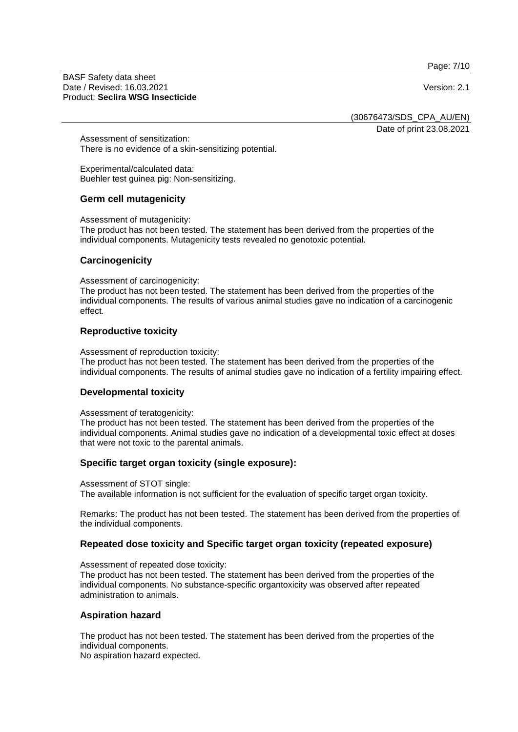Page: 7/10

BASF Safety data sheet Date / Revised: 16.03.2021 **Version: 2.1** Product: **Seclira WSG Insecticide**

(30676473/SDS\_CPA\_AU/EN)

Date of print 23.08.2021

Assessment of sensitization: There is no evidence of a skin-sensitizing potential.

Experimental/calculated data: Buehler test guinea pig: Non-sensitizing.

### **Germ cell mutagenicity**

Assessment of mutagenicity:

The product has not been tested. The statement has been derived from the properties of the individual components. Mutagenicity tests revealed no genotoxic potential.

#### **Carcinogenicity**

Assessment of carcinogenicity:

The product has not been tested. The statement has been derived from the properties of the individual components. The results of various animal studies gave no indication of a carcinogenic effect.

### **Reproductive toxicity**

Assessment of reproduction toxicity:

The product has not been tested. The statement has been derived from the properties of the individual components. The results of animal studies gave no indication of a fertility impairing effect.

#### **Developmental toxicity**

Assessment of teratogenicity:

The product has not been tested. The statement has been derived from the properties of the individual components. Animal studies gave no indication of a developmental toxic effect at doses that were not toxic to the parental animals.

## **Specific target organ toxicity (single exposure):**

Assessment of STOT single: The available information is not sufficient for the evaluation of specific target organ toxicity.

Remarks: The product has not been tested. The statement has been derived from the properties of the individual components.

## **Repeated dose toxicity and Specific target organ toxicity (repeated exposure)**

Assessment of repeated dose toxicity:

The product has not been tested. The statement has been derived from the properties of the individual components. No substance-specific organtoxicity was observed after repeated administration to animals.

## **Aspiration hazard**

The product has not been tested. The statement has been derived from the properties of the individual components.

No aspiration hazard expected.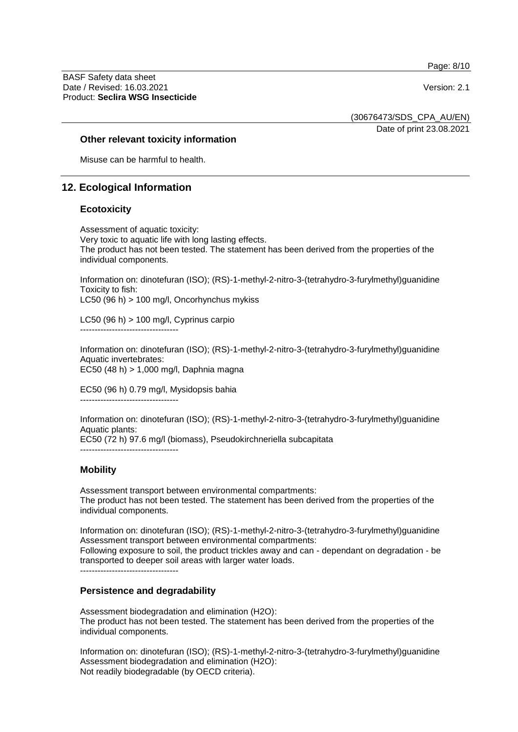Page: 8/10

BASF Safety data sheet Date / Revised: 16.03.2021 **Version: 2.1** Product: **Seclira WSG Insecticide**

(30676473/SDS\_CPA\_AU/EN)

Date of print 23.08.2021

#### **Other relevant toxicity information**

Misuse can be harmful to health.

### **12. Ecological Information**

#### **Ecotoxicity**

Assessment of aquatic toxicity: Very toxic to aquatic life with long lasting effects. The product has not been tested. The statement has been derived from the properties of the individual components.

Information on: dinotefuran (ISO); (RS)-1-methyl-2-nitro-3-(tetrahydro-3-furylmethyl)guanidine Toxicity to fish: LC50 (96 h) > 100 mg/l, Oncorhynchus mykiss

LC50 (96 h) > 100 mg/l, Cyprinus carpio ----------------------------------

Information on: dinotefuran (ISO); (RS)-1-methyl-2-nitro-3-(tetrahydro-3-furylmethyl)guanidine Aquatic invertebrates: EC50 (48 h) > 1,000 mg/l, Daphnia magna

EC50 (96 h) 0.79 mg/l, Mysidopsis bahia ----------------------------------

Information on: dinotefuran (ISO); (RS)-1-methyl-2-nitro-3-(tetrahydro-3-furylmethyl)guanidine Aquatic plants: EC50 (72 h) 97.6 mg/l (biomass), Pseudokirchneriella subcapitata

----------------------------------

### **Mobility**

Assessment transport between environmental compartments: The product has not been tested. The statement has been derived from the properties of the individual components.

Information on: dinotefuran (ISO); (RS)-1-methyl-2-nitro-3-(tetrahydro-3-furylmethyl)guanidine Assessment transport between environmental compartments: Following exposure to soil, the product trickles away and can - dependant on degradation - be transported to deeper soil areas with larger water loads.

#### **Persistence and degradability**

Assessment biodegradation and elimination (H2O): The product has not been tested. The statement has been derived from the properties of the individual components.

Information on: dinotefuran (ISO); (RS)-1-methyl-2-nitro-3-(tetrahydro-3-furylmethyl)guanidine Assessment biodegradation and elimination (H2O): Not readily biodegradable (by OECD criteria).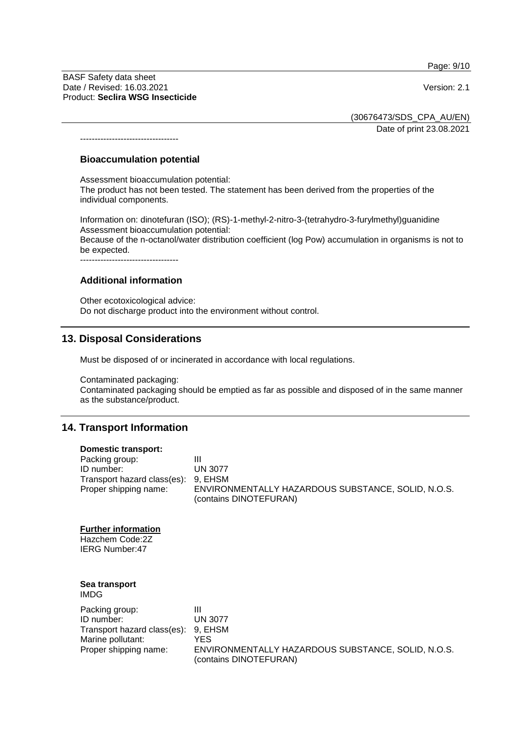Page: 9/10

BASF Safety data sheet Date / Revised: 16.03.2021 Version: 2.1 Product: **Seclira WSG Insecticide**

----------------------------------

(30676473/SDS\_CPA\_AU/EN)

Date of print 23.08.2021

#### **Bioaccumulation potential**

Assessment bioaccumulation potential:

The product has not been tested. The statement has been derived from the properties of the individual components.

Information on: dinotefuran (ISO); (RS)-1-methyl-2-nitro-3-(tetrahydro-3-furylmethyl)guanidine Assessment bioaccumulation potential:

Because of the n-octanol/water distribution coefficient (log Pow) accumulation in organisms is not to be expected.

----------------------------------

## **Additional information**

Other ecotoxicological advice: Do not discharge product into the environment without control.

## **13. Disposal Considerations**

Must be disposed of or incinerated in accordance with local regulations.

Contaminated packaging:

Contaminated packaging should be emptied as far as possible and disposed of in the same manner as the substance/product.

#### **14. Transport Information**

#### **Domestic transport:**

| Packing group:                      |                                                    |
|-------------------------------------|----------------------------------------------------|
| ID number:                          | UN 3077                                            |
| Transport hazard class(es): 9, EHSM |                                                    |
| Proper shipping name:               | ENVIRONMENTALLY HAZARDOUS SUBSTANCE, SOLID, N.O.S. |
|                                     | (contains DINOTEFURAN)                             |

#### **Further information**

Hazchem Code:2Z IERG Number:47

#### **Sea transport** IMDG

| Packing group:                      |                                                                              |
|-------------------------------------|------------------------------------------------------------------------------|
| ID number:                          | <b>UN 3077</b>                                                               |
| Transport hazard class(es): 9, EHSM |                                                                              |
| Marine pollutant:                   | YES.                                                                         |
| Proper shipping name:               | ENVIRONMENTALLY HAZARDOUS SUBSTANCE, SOLID, N.O.S.<br>(contains DINOTEFURAN) |